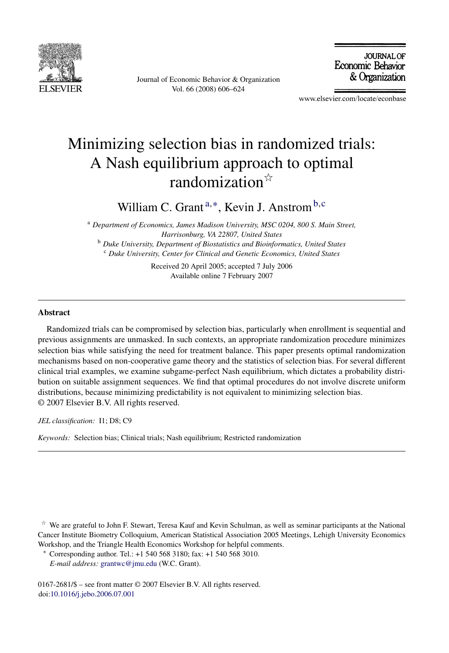

Journal of Economic Behavior & Organization Vol. 66 (2008) 606–624

**JOURNAL OF** Economic Behavior & Organization

www.elsevier.com/locate/econbase

# Minimizing selection bias in randomized trials: A Nash equilibrium approach to optimal randomization $\mathbb{A}$

William C. Grant<sup>a,\*</sup>, Kevin J. Anstrom<sup>b,c</sup>

<sup>a</sup> *Department of Economics, James Madison University, MSC 0204, 800 S. Main Street, Harrisonburg, VA 22807, United States* <sup>b</sup> *Duke University, Department of Biostatistics and Bioinformatics, United States* <sup>c</sup> *Duke University, Center for Clinical and Genetic Economics, United States*

> Received 20 April 2005; accepted 7 July 2006 Available online 7 February 2007

### **Abstract**

Randomized trials can be compromised by selection bias, particularly when enrollment is sequential and previous assignments are unmasked. In such contexts, an appropriate randomization procedure minimizes selection bias while satisfying the need for treatment balance. This paper presents optimal randomization mechanisms based on non-cooperative game theory and the statistics of selection bias. For several different clinical trial examples, we examine subgame-perfect Nash equilibrium, which dictates a probability distribution on suitable assignment sequences. We find that optimal procedures do not involve discrete uniform distributions, because minimizing predictability is not equivalent to minimizing selection bias. © 2007 Elsevier B.V. All rights reserved.

*JEL classification:* I1; D8; C9

*Keywords:* Selection bias; Clinical trials; Nash equilibrium; Restricted randomization

 $*$  We are grateful to John F. Stewart, Teresa Kauf and Kevin Schulman, as well as seminar participants at the National Cancer Institute Biometry Colloquium, American Statistical Association 2005 Meetings, Lehigh University Economics Workshop, and the Triangle Health Economics Workshop for helpful comments.

<sup>∗</sup> Corresponding author. Tel.: +1 540 568 3180; fax: +1 540 568 3010.

*E-mail address:* [grantwc@jmu.edu](mailto:grantwc@jmu.edu) (W.C. Grant).

0167-2681/\$ – see front matter © 2007 Elsevier B.V. All rights reserved. doi[:10.1016/j.jebo.2006.07.001](dx.doi.org/10.1016/j.jebo.2006.07.001)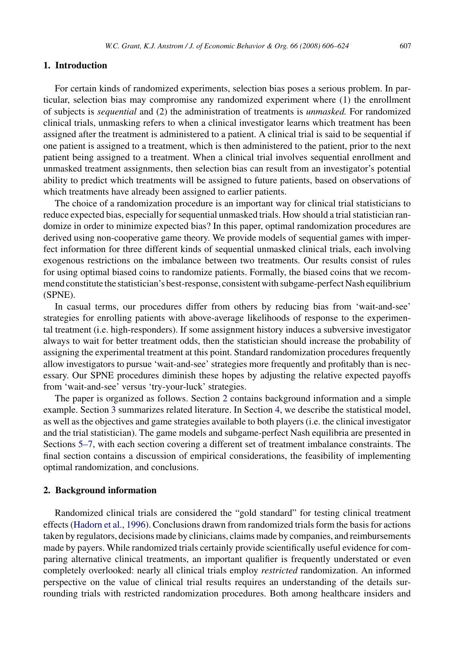### **1. Introduction**

For certain kinds of randomized experiments, selection bias poses a serious problem. In particular, selection bias may compromise any randomized experiment where (1) the enrollment of subjects is *sequential* and (2) the administration of treatments is *unmasked.* For randomized clinical trials, unmasking refers to when a clinical investigator learns which treatment has been assigned after the treatment is administered to a patient. A clinical trial is said to be sequential if one patient is assigned to a treatment, which is then administered to the patient, prior to the next patient being assigned to a treatment. When a clinical trial involves sequential enrollment and unmasked treatment assignments, then selection bias can result from an investigator's potential ability to predict which treatments will be assigned to future patients, based on observations of which treatments have already been assigned to earlier patients.

The choice of a randomization procedure is an important way for clinical trial statisticians to reduce expected bias, especially for sequential unmasked trials. How should a trial statistician randomize in order to minimize expected bias? In this paper, optimal randomization procedures are derived using non-cooperative game theory. We provide models of sequential games with imperfect information for three different kinds of sequential unmasked clinical trials, each involving exogenous restrictions on the imbalance between two treatments. Our results consist of rules for using optimal biased coins to randomize patients. Formally, the biased coins that we recommend constitute the statistician's best-response, consistent with subgame-perfect Nash equilibrium (SPNE).

In casual terms, our procedures differ from others by reducing bias from 'wait-and-see' strategies for enrolling patients with above-average likelihoods of response to the experimental treatment (i.e. high-responders). If some assignment history induces a subversive investigator always to wait for better treatment odds, then the statistician should increase the probability of assigning the experimental treatment at this point. Standard randomization procedures frequently allow investigators to pursue 'wait-and-see' strategies more frequently and profitably than is necessary. Our SPNE procedures diminish these hopes by adjusting the relative expected payoffs from 'wait-and-see' versus 'try-your-luck' strategies.

The paper is organized as follows. Section 2 contains background information and a simple example. Section [3](#page--1-0) summarizes related literature. In Section [4,](#page--1-0) we describe the statistical model, as well as the objectives and game strategies available to both players (i.e. the clinical investigator and the trial statistician). The game models and subgame-perfect Nash equilibria are presented in Sections [5–7,](#page--1-0) with each section covering a different set of treatment imbalance constraints. The final section contains a discussion of empirical considerations, the feasibility of implementing optimal randomization, and conclusions.

### **2. Background information**

Randomized clinical trials are considered the "gold standard" for testing clinical treatment effects ([Hadorn et al., 1996\).](#page--1-0) Conclusions drawn from randomized trials form the basis for actions taken by regulators, decisions made by clinicians, claims made by companies, and reimbursements made by payers. While randomized trials certainly provide scientifically useful evidence for comparing alternative clinical treatments, an important qualifier is frequently understated or even completely overlooked: nearly all clinical trials employ *restricted* randomization. An informed perspective on the value of clinical trial results requires an understanding of the details surrounding trials with restricted randomization procedures. Both among healthcare insiders and